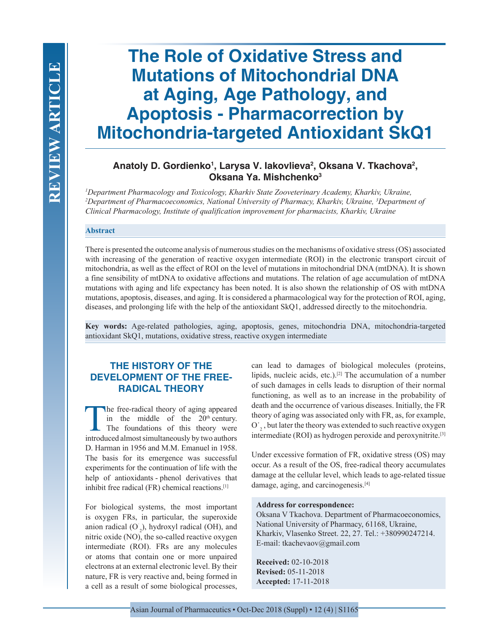# **The Role of Oxidative Stress and Mutations of Mitochondrial DNA at Aging, Age Pathology, and Apoptosis - Pharmacorrection by Mitochondria-targeted Antioxidant SkQ1**

# Anatoly D. Gordienko<sup>1</sup>, Larysa V. lakovlieva<sup>2</sup>, Oksana V. Tkachova<sup>2</sup>, **Oksana Ya. Mishchenko3**

*1 Department Pharmacology and Toxicology, Kharkiv State Zooveterinary Academy, Kharkiv, Ukraine, 2 Department of Pharmacoeconomics, National University of Pharmacy, Kharkiv, Ukraine, 3 Department of Clinical Pharmacology, Institute of qualification improvement for pharmacists, Kharkiv, Ukraine*

#### **Abstract**

There is presented the outcome analysis of numerous studies on the mechanisms of oxidative stress (OS) associated with increasing of the generation of reactive oxygen intermediate (ROI) in the electronic transport circuit of mitochondria, as well as the effect of ROI on the level of mutations in mitochondrial DNA (mtDNA). It is shown a fine sensibility of mtDNA to oxidative affections and mutations. The relation of age accumulation of mtDNA mutations with aging and life expectancy has been noted. It is also shown the relationship of OS with mtDNA mutations, apoptosis, diseases, and aging. It is considered a pharmacological way for the protection of ROI, aging, diseases, and prolonging life with the help of the antioxidant SkQ1, addressed directly to the mitochondria.

**Key words:** Age-related pathologies, aging, apoptosis, genes, mitochondria DNA, mitochondria-targeted antioxidant SkQ1, mutations, oxidative stress, reactive oxygen intermediate

# **THE HISTORY OF THE DEVELOPMENT OF THE FREE-RADICAL THEORY**

The free-radical theory of aging appeared<br>in the middle of the  $20^{\text{th}}$  century.<br>The foundations of this theory were<br>introduced almost simultaneously by two authors in the middle of the  $20<sup>th</sup>$  century. The foundations of this theory were introduced almost simultaneously by two authors D. Harman in 1956 and M.M. Emanuel in 1958. The basis for its emergence was successful experiments for the continuation of life with the help of antioxidants - phenol derivatives that inhibit free radical (FR) chemical reactions.[1]

For biological systems, the most important is oxygen FRs, in particular, the superoxide anion radical  $(O_2)$ , hydroxyl radical (OH), and nitric oxide (NO), the so-called reactive oxygen intermediate (ROI). FRs are any molecules or atoms that contain one or more unpaired electrons at an external electronic level. By their nature, FR is very reactive and, being formed in a cell as a result of some biological processes,

can lead to damages of biological molecules (proteins, lipids, nucleic acids, etc.).<sup>[2]</sup> The accumulation of a number of such damages in cells leads to disruption of their normal functioning, as well as to an increase in the probability of death and the occurrence of various diseases. Initially, the FR theory of aging was associated only with FR, as, for example, O  $_2$ , but later the theory was extended to such reactive oxygen intermediate (ROI) as hydrogen peroxide and peroxynitrite.[3]

Under excessive formation of FR, oxidative stress (OS) may occur. As a result of the OS, free-radical theory accumulates damage at the cellular level, which leads to age-related tissue damage, aging, and carcinogenesis.<sup>[4]</sup>

#### **Address for correspondence:**

Oksana V Tkachova. Department of Pharmacoeconomics, National University of Pharmacy, 61168, Ukraine, Kharkiv, Vlasenko Street. 22, 27. Tel.: +380990247214. Е-mail: tkachevaov@gmail.com

**Received:** 02-10-2018 **Revised:** 05-11-2018 **Accepted:** 17-11-2018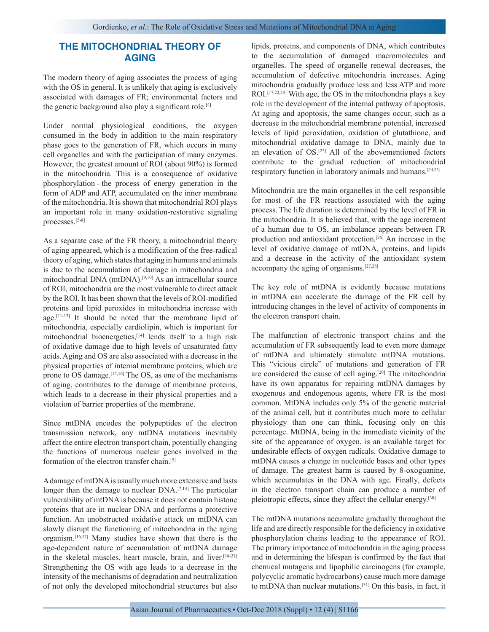## **THE MITOCHONDRIAL THEORY OF AGING**

The modern theory of aging associates the process of aging with the OS in general. It is unlikely that aging is exclusively associated with damages of FR; environmental factors and the genetic background also play a significant role.[4]

Under normal physiological conditions, the oxygen consumed in the body in addition to the main respiratory phase goes to the generation of FR, which occurs in many cell organelles and with the participation of many enzymes. However, the greatest amount of ROI (about 90%) is formed in the mitochondria. This is a consequence of oxidative phosphorylation - the process of energy generation in the form of ADP and ATP, accumulated on the inner membrane of the mitochondria. It is shown that mitochondrial ROI plays an important role in many oxidation-restorative signaling processes.[5-8]

As a separate case of the FR theory, a mitochondrial theory of aging appeared, which is a modification of the free-radical theory of aging, which states that aging in humans and animals is due to the accumulation of damage in mitochondria and mitochondrial DNA (mtDNA).[9,10] As an intracellular source of ROI, mitochondria are the most vulnerable to direct attack by the ROI. It has been shown that the levels of ROI-modified proteins and lipid peroxides in mitochondria increase with age.[11-13] It should be noted that the membrane lipid of mitochondria, especially cardiolipin, which is important for mitochondrial bioenergetics,[14] lends itself to a high risk of oxidative damage due to high levels of unsaturated fatty acids. Aging and OS are also associated with a decrease in the physical properties of internal membrane proteins, which are prone to OS damage.[15,16] The OS, as one of the mechanisms of aging, contributes to the damage of membrane proteins, which leads to a decrease in their physical properties and a violation of barrier properties of the membrane.

Since mtDNA encodes the polypeptides of the electron transmission network, any mtDNA mutations inevitably affect the entire electron transport chain, potentially changing the functions of numerous nuclear genes involved in the formation of the electron transfer chain.[5]

A damage of mtDNA is usually much more extensive and lasts longer than the damage to nuclear DNA.<sup>[7,13]</sup> The particular vulnerability of mtDNA is because it does not contain histone proteins that are in nuclear DNA and performs a protective function. An unobstructed oxidative attack on mtDNA can slowly disrupt the functioning of mitochondria in the aging organism.[16,17] Many studies have shown that there is the age-dependent nature of accumulation of mtDNA damage in the skeletal muscles, heart muscle, brain, and liver.<sup>[18-21]</sup> Strengthening the OS with age leads to a decrease in the intensity of the mechanisms of degradation and neutralization of not only the developed mitochondrial structures but also

lipids, proteins, and components of DNA, which contributes to the accumulation of damaged macromolecules and organelles. The speed of organelle renewal decreases, the accumulation of defective mitochondria increases. Aging mitochondria gradually produce less and less ATP and more ROI.[17,22,23] With age, the OS in the mitochondria plays a key role in the development of the internal pathway of apoptosis. At aging and apoptosis, the same changes occur, such as a decrease in the mitochondrial membrane potential, increased levels of lipid peroxidation, oxidation of glutathione, and mitochondrial oxidative damage to DNA, mainly due to an elevation of OS.[25] All of the abovementioned factors contribute to the gradual reduction of mitochondrial respiratory function in laboratory animals and humans.<sup>[24,25]</sup>

Mitochondria are the main organelles in the cell responsible for most of the FR reactions associated with the aging process. The life duration is determined by the level of FR in the mitochondria. It is believed that, with the age increment of a human due to OS, an imbalance appears between FR production and antioxidant protection.[26] An increase in the level of oxidative damage of mtDNA, proteins, and lipids and a decrease in the activity of the antioxidant system accompany the aging of organisms.[27,28]

The key role of mtDNA is evidently because mutations in mtDNA can accelerate the damage of the FR cell by introducing changes in the level of activity of components in the electron transport chain.

The malfunction of electronic transport chains and the accumulation of FR subsequently lead to even more damage of mtDNA and ultimately stimulate mtDNA mutations. This "vicious circle" of mutations and generation of FR are considered the cause of cell aging.[29] The mitochondria have its own apparatus for repairing mtDNA damages by exogenous and endogenous agents, where FR is the most common. MtDNA includes only 5% of the genetic material of the animal cell, but it contributes much more to cellular physiology than one can think, focusing only on this percentage. MtDNA, being in the immediate vicinity of the site of the appearance of oxygen, is an available target for undesirable effects of oxygen radicals. Oxidative damage to mtDNA causes a change in nucleotide bases and other types of damage. The greatest harm is caused by 8-oxoguanine, which accumulates in the DNA with age. Finally, defects in the electron transport chain can produce a number of pleiotropic effects, since they affect the cellular energy.<sup>[30]</sup>

The mtDNA mutations accumulate gradually throughout the life and are directly responsible for the deficiency in oxidative phosphorylation chains leading to the appearance of ROI. The primary importance of mitochondria in the aging process and in determining the lifespan is confirmed by the fact that chemical mutagens and lipophilic carcinogens (for example, polycyclic aromatic hydrocarbons) cause much more damage to mtDNA than nuclear mutations.[31] On this basis, in fact, it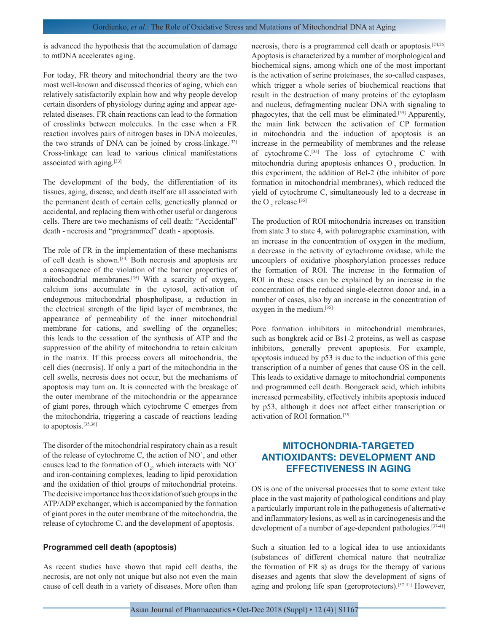is advanced the hypothesis that the accumulation of damage to mtDNA accelerates aging.

For today, FR theory and mitochondrial theory are the two most well-known and discussed theories of aging, which can relatively satisfactorily explain how and why people develop certain disorders of physiology during aging and appear agerelated diseases. FR chain reactions can lead to the formation of crosslinks between molecules. In the case when a FR reaction involves pairs of nitrogen bases in DNA molecules, the two strands of DNA can be joined by cross-linkage.<sup>[32]</sup> Cross-linkage can lead to various clinical manifestations associated with aging.[33]

The development of the body, the differentiation of its tissues, aging, disease, and death itself are all associated with the permanent death of certain cells, genetically planned or accidental, and replacing them with other useful or dangerous cells. There are two mechanisms of cell death: "Accidental" death - necrosis and "programmed" death - apoptosis.

The role of FR in the implementation of these mechanisms of cell death is shown.[34] Both necrosis and apoptosis are a consequence of the violation of the barrier properties of mitochondrial membranes.[35] With a scarcity of oxygen, calcium ions accumulate in the cytosol, activation of endogenous mitochondrial phospholipase, a reduction in the electrical strength of the lipid layer of membranes, the appearance of permeability of the inner mitochondrial membrane for cations, and swelling of the organelles; this leads to the cessation of the synthesis of ATP and the suppression of the ability of mitochondria to retain calcium in the matrix. If this process covers all mitochondria, the cell dies (necrosis). If only a part of the mitochondria in the cell swells, necrosis does not occur, but the mechanisms of apoptosis may turn on. It is connected with the breakage of the outer membrane of the mitochondria or the appearance of giant pores, through which cytochrome C emerges from the mitochondria, triggering a cascade of reactions leading to apoptosis.[35,36]

The disorder of the mitochondrial respiratory chain as a result of the release of cytochrome C, the action of NO˙, and other causes lead to the formation of  $O_2$ , which interacts with NO<sup> $\cdot$ </sup> and iron-containing complexes, leading to lipid peroxidation and the oxidation of thiol groups of mitochondrial proteins. The decisive importance has the oxidation of such groups in the ATP/ADP exchanger, which is accompanied by the formation of giant pores in the outer membrane of the mitochondria, the release of cytochrome C, and the development of apoptosis.

#### **Programmed cell death (apoptosis)**

As recent studies have shown that rapid cell deaths, the necrosis, are not only not unique but also not even the main cause of cell death in a variety of diseases. More often than necrosis, there is a programmed cell death or apoptosis.[24,26] Apoptosis is characterized by a number of morphological and biochemical signs, among which one of the most important is the activation of serine proteinases, the so-called caspases, which trigger a whole series of biochemical reactions that result in the destruction of many proteins of the cytoplasm and nucleus, defragmenting nuclear DNA with signaling to phagocytes, that the cell must be eliminated.[35] Apparently, the main link between the activation of CP formation in mitochondria and the induction of apoptosis is an increase in the permeability of membranes and the release of cytochrome C.[35] The loss of cytochrome C with mitochondria during apoptosis enhances  $O<sub>2</sub>$  production. In this experiment, the addition of Bcl-2 (the inhibitor of pore formation in mitochondrial membranes), which reduced the yield of cytochrome C, simultaneously led to a decrease in the O $_2$  release.<sup>[35]</sup>

The production of ROI mitochondria increases on transition from state 3 to state 4, with polarographic examination, with an increase in the concentration of oxygen in the medium, a decrease in the activity of cytochrome oxidase, while the uncouplers of oxidative phosphorylation processes reduce the formation of ROI. The increase in the formation of ROI in these cases can be explained by an increase in the concentration of the reduced single-electron donor and, in a number of cases, also by an increase in the concentration of oxygen in the medium.[35]

Pore formation inhibitors in mitochondrial membranes, such as bongkrek acid or Bs1-2 proteins, as well as caspase inhibitors, generally prevent apoptosis. For example, apoptosis induced by p53 is due to the induction of this gene transcription of a number of genes that cause OS in the cell. This leads to oxidative damage to mitochondrial components and programmed cell death. Bongcrack acid, which inhibits increased permeability, effectively inhibits apoptosis induced by p53, although it does not affect either transcription or activation of ROI formation.[35]

# **MITOCHONDRIA-TARGETED ANTIOXIDANTS: DEVELOPMENT AND EFFECTIVENESS IN AGING**

OS is one of the universal processes that to some extent take place in the vast majority of pathological conditions and play a particularly important role in the pathogenesis of alternative and inflammatory lesions, as well as in carcinogenesis and the development of a number of age-dependent pathologies.<sup>[37-41]</sup>

Such a situation led to a logical idea to use antioxidants (substances of different chemical nature that neutralize the formation of FR s) as drugs for the therapy of various diseases and agents that slow the development of signs of aging and prolong life span (geroprotectors).[37-41] However,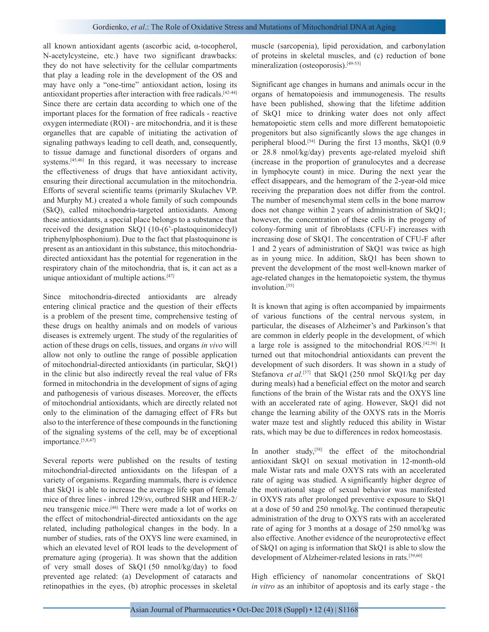all known antioxidant agents (ascorbic acid, α-tocopherol, N-acetylcysteine, etc.) have two significant drawbacks: they do not have selectivity for the cellular compartments that play a leading role in the development of the OS and may have only a "one-time" antioxidant action, losing its antioxidant properties after interaction with free radicals.[42-44] Since there are certain data according to which one of the important places for the formation of free radicals - reactive oxygen intermediate (ROI) - are mitochondria, and it is these organelles that are capable of initiating the activation of signaling pathways leading to cell death, and, consequently, to tissue damage and functional disorders of organs and systems.[45,46] In this regard, it was necessary to increase the effectiveness of drugs that have antioxidant activity, ensuring their directional accumulation in the mitochondria. Efforts of several scientific teams (primarily Skulachev VP. and Murphy M.) created a whole family of such compounds (SkQ), called mitochondria-targeted antioxidants. Among these antioxidants, a special place belongs to a substance that received the designation SkQ1 (10-(6'-plastoquinonidecyl) triphenylphosphonium). Due to the fact that plastoquinone is present as an antioxidant in this substance, this mitochondriadirected antioxidant has the potential for regeneration in the respiratory chain of the mitochondria, that is, it can act as a unique antioxidant of multiple actions.[47]

Since mitochondria-directed antioxidants are already entering clinical practice and the question of their effects is a problem of the present time, comprehensive testing of these drugs on healthy animals and on models of various diseases is extremely urgent. The study of the regularities of action of these drugs on cells, tissues, and organs *in vivo* will allow not only to outline the range of possible application of mitochondrial-directed antioxidants (in particular, SkQ1) in the clinic but also indirectly reveal the real value of FRs formed in mitochondria in the development of signs of aging and pathogenesis of various diseases. Moreover, the effects of mitochondrial antioxidants, which are directly related not only to the elimination of the damaging effect of FRs but also to the interference of these compounds in the functioning of the signaling systems of the cell, may be of exceptional importance.[5,8,47]

Several reports were published on the results of testing mitochondrial-directed antioxidants on the lifespan of a variety of organisms. Regarding mammals, there is evidence that SkQ1 is able to increase the average life span of female mice of three lines - inbred 129/sv, outbred SHR and HER-2/ neu transgenic mice.[48] There were made a lot of works on the effect of mitochondrial-directed antioxidants on the age related, including pathological changes in the body. In a number of studies, rats of the OXYS line were examined, in which an elevated level of ROI leads to the development of premature aging (progeria). It was shown that the addition of very small doses of SkQ1 (50 nmol/kg/day) to food prevented age related: (a) Development of cataracts and retinopathies in the eyes, (b) atrophic processes in skeletal

muscle (sarcopenia), lipid peroxidation, and carbonylation of proteins in skeletal muscles, and (c) reduction of bone mineralization (osteoporosis).<sup>[49-53]</sup>

Significant age changes in humans and animals occur in the organs of hematopoiesis and immunogenesis. The results have been published, showing that the lifetime addition of SkQ1 mice to drinking water does not only affect hematopoietic stem cells and more different hematopoietic progenitors but also significantly slows the age changes in peripheral blood.[54] During the first 13 months, SkQ1 (0.9 or 28.8 nmol/kg/day) prevents age-related myeloid shift (increase in the proportion of granulocytes and a decrease in lymphocyte count) in mice. During the next year the effect disappears, and the hemogram of the 2-year-old mice receiving the preparation does not differ from the control. The number of mesenchymal stem cells in the bone marrow does not change within 2 years of administration of SkQ1; however, the concentration of these cells in the progeny of colony-forming unit of fibroblasts (CFU-F) increases with increasing dose of SkQ1. The concentration of CFU-F after 1 and 2 years of administration of SkQ1 was twice as high as in young mice. In addition, SkQ1 has been shown to prevent the development of the most well-known marker of age-related changes in the hematopoietic system, the thymus involution.[55]

It is known that aging is often accompanied by impairments of various functions of the central nervous system, in particular, the diseases of Alzheimer's and Parkinson's that are common in elderly people in the development, of which a large role is assigned to the mitochondrial ROS.[42,56] It turned out that mitochondrial antioxidants can prevent the development of such disorders. It was shown in a study of Stefanova *et al.*<sup>[57]</sup> that SkO1 (250 nmol SkO1/kg per day during meals) had a beneficial effect on the motor and search functions of the brain of the Wistar rats and the OXYS line with an accelerated rate of aging. However, SkQ1 did not change the learning ability of the OXYS rats in the Morris water maze test and slightly reduced this ability in Wistar rats, which may be due to differences in redox homeostasis.

In another study,<sup>[58]</sup> the effect of the mitochondrial antioxidant SkQ1 on sexual motivation in 12-month-old male Wistar rats and male OXYS rats with an accelerated rate of aging was studied. A significantly higher degree of the motivational stage of sexual behavior was manifested in OXYS rats after prolonged preventive exposure to SkQ1 at a dose of 50 and 250 nmol/kg. The continued therapeutic administration of the drug to OXYS rats with an accelerated rate of aging for 3 months at a dosage of 250 nmol/kg was also effective. Another evidence of the neuroprotective effect of SkQ1 on aging is information that SkQ1 is able to slow the development of Alzheimer-related lesions in rats.<sup>[59,60]</sup>

High efficiency of nanomolar concentrations of SkQ1 *in vitro* as an inhibitor of apoptosis and its early stage - the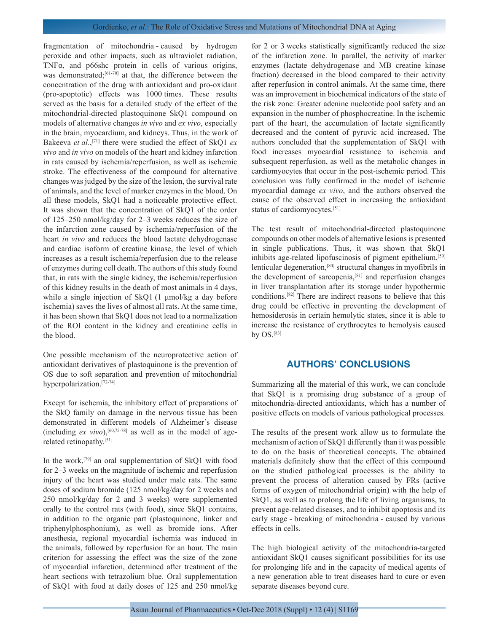fragmentation of mitochondria - caused by hydrogen peroxide and other impacts, such as ultraviolet radiation, TNFα, and p66shc protein in cells of various origins, was demonstrated;<sup>[61-70]</sup> at that, the difference between the concentration of the drug with antioxidant and pro-oxidant (pro-apoptotic) effects was 1000 times. These results served as the basis for a detailed study of the effect of the mitochondrial-directed plastoquinone SkQ1 compound on models of alternative changes *in vivo* and *ex vivo*, especially in the brain, myocardium, and kidneys. Thus, in the work of Bakeeva *et al.*, [71] there were studied the effect of SkQ1 *ex vivo* and *in vivo* on models of the heart and kidney infarction in rats caused by ischemia/reperfusion, as well as ischemic stroke. The effectiveness of the compound for alternative changes was judged by the size of the lesion, the survival rate of animals, and the level of marker enzymes in the blood. On all these models, SkQ1 had a noticeable protective effect. It was shown that the concentration of SkQ1 of the order of 125–250 nmol/kg/day for 2–3 weeks reduces the size of the infarction zone caused by ischemia/reperfusion of the heart *in vivo* and reduces the blood lactate dehydrogenase and cardiac isoform of creatine kinase, the level of which increases as a result ischemia/reperfusion due to the release of enzymes during cell death. The authors of this study found that, in rats with the single kidney, the ischemia/reperfusion of this kidney results in the death of most animals in 4 days, while a single injection of SkQ1 (1 μmol/kg a day before ischemia) saves the lives of almost all rats. At the same time, it has been shown that SkQ1 does not lead to a normalization of the ROI content in the kidney and creatinine cells in the blood.

One possible mechanism of the neuroprotective action of antioxidant derivatives of plastoquinone is the prevention of OS due to soft separation and prevention of mitochondrial hyperpolarization.[72-74]

Except for ischemia, the inhibitory effect of preparations of the SkQ family on damage in the nervous tissue has been demonstrated in different models of Alzheimer's disease (including  $ex$  *vivo*),<sup>[60,75-78]</sup> as well as in the model of agerelated retinopathy.[51]

In the work,[79] an oral supplementation of SkQ1 with food for 2–3 weeks on the magnitude of ischemic and reperfusion injury of the heart was studied under male rats. The same doses of sodium bromide (125 nmol/kg/day for 2 weeks and 250 nmol/kg/day for 2 and 3 weeks) were supplemented orally to the control rats (with food), since SkQ1 contains, in addition to the organic part (plastoquinone, linker and triphenylphosphonium), as well as bromide ions. After anesthesia, regional myocardial ischemia was induced in the animals, followed by reperfusion for an hour. The main criterion for assessing the effect was the size of the zone of myocardial infarction, determined after treatment of the heart sections with tetrazolium blue. Oral supplementation of SkQ1 with food at daily doses of 125 and 250 nmol/kg for 2 or 3 weeks statistically significantly reduced the size of the infarction zone. In parallel, the activity of marker enzymes (lactate dehydrogenase and MB creatine kinase fraction) decreased in the blood compared to their activity after reperfusion in control animals. At the same time, there was an improvement in biochemical indicators of the state of the risk zone: Greater adenine nucleotide pool safety and an expansion in the number of phosphocreatine. In the ischemic part of the heart, the accumulation of lactate significantly decreased and the content of pyruvic acid increased. The authors concluded that the supplementation of SkQ1 with food increases myocardial resistance to ischemia and subsequent reperfusion, as well as the metabolic changes in cardiomyocytes that occur in the post-ischemic period. This conclusion was fully confirmed in the model of ischemic myocardial damage *ex vivo*, and the authors observed the cause of the observed effect in increasing the antioxidant status of cardiomyocytes.[51]

The test result of mitochondrial-directed plastoquinone compounds on other models of alternative lesions is presented in single publications. Thus, it was shown that SkQ1 inhibits age-related lipofuscinosis of pigment epithelium,<sup>[50]</sup> lenticular degeneration,[80] structural changes in myofibrils in the development of sarcopenia,<sup>[81]</sup> and reperfusion changes in liver transplantation after its storage under hypothermic conditions.[82] There are indirect reasons to believe that this drug could be effective in preventing the development of hemosiderosis in certain hemolytic states, since it is able to increase the resistance of erythrocytes to hemolysis caused by OS.[83]

## **AUTHORS' CONCLUSIONS**

Summarizing all the material of this work, we can conclude that SkQ1 is a promising drug substance of a group of mitochondria-directed antioxidants, which has a number of positive effects on models of various pathological processes.

The results of the present work allow us to formulate the mechanism of action of SkQ1 differently than it was possible to do on the basis of theoretical concepts. The obtained materials definitely show that the effect of this compound on the studied pathological processes is the ability to prevent the process of alteration caused by FRs (active forms of oxygen of mitochondrial origin) with the help of SkQ1, as well as to prolong the life of living organisms, to prevent age-related diseases, and to inhibit apoptosis and its early stage - breaking of mitochondria - caused by various effects in cells.

The high biological activity of the mitochondria-targeted antioxidant SkQ1 causes significant possibilities for its use for prolonging life and in the capacity of medical agents of a new generation able to treat diseases hard to cure or even separate diseases beyond cure.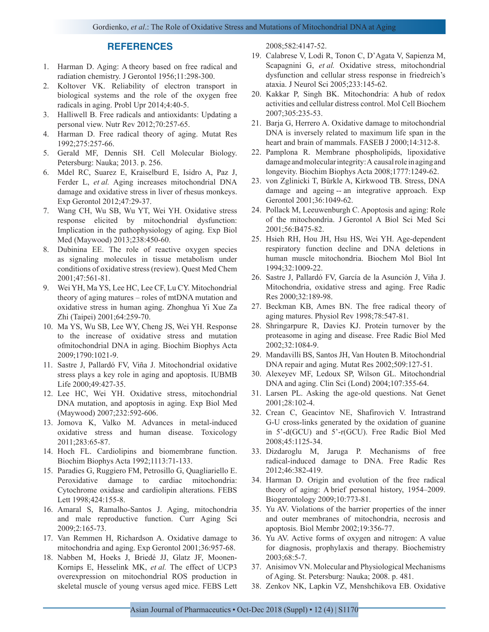## **REFERENCES**

- 1. Harman D. Aging: A theory based on free radical and radiation chemistry. J Gerontol 1956;11:298-300.
- 2. Koltover VK. Reliability of electron transport in biological systems and the role of the oxygen free radicals in aging. Probl Upr 2014;4:40-5.
- 3. Halliwell B. Free radicals and antioxidants: Updating a personal view. Nutr Rev 2012;70:257-65.
- 4. Harman D. Free radical theory of aging. Mutat Res 1992;275:257-66.
- 5. Gerald MF, Dennis SH. Cell Molecular Biology. Petersburg: Nauka; 2013. p. 256.
- 6. Mdel RC, Suarez E, Kraiselburd E, Isidro A, Paz J, Ferder L, *et al.* Aging increases mitochondrial DNA damage and oxidative stress in liver of rhesus monkeys. Exp Gerontol 2012;47:29-37.
- 7. Wang CH, Wu SB, Wu YT, Wei YH. Oxidative stress response elicited by mitochondrial dysfunction: Implication in the pathophysiology of aging. Exp Biol Med (Maywood) 2013;238:450-60.
- 8. Dubinina EE. The role of reactive oxygen species as signaling molecules in tissue metabolism under conditions of oxidative stress (review). Quest Med Chem 2001;47:561-81.
- 9. Wei YH, Ma YS, Lee HC, Lee CF, Lu CY. Mitochondrial theory of aging matures – roles of mtDNA mutation and oxidative stress in human aging. Zhonghua Yi Xue Za Zhi (Taipei) 2001;64:259-70.
- 10. Ma YS, Wu SB, Lee WY, Cheng JS, Wei YH. Response to the increase of oxidative stress and mutation ofmitochondrial DNA in aging. Biochim Biophys Acta 2009;1790:1021-9.
- 11. Sastre J, Pallardó FV, Viña J. Mitochondrial oxidative stress plays a key role in aging and apoptosis. IUBMB Life 2000;49:427-35.
- 12. Lee HC, Wei YH. Oxidative stress, mitochondrial DNA mutation, and apoptosis in aging. Exp Biol Med (Maywood) 2007;232:592-606.
- 13. Jomova K, Valko M. Advances in metal-induced oxidative stress and human disease. Toxicology 2011;283:65-87.
- 14. Hoch FL. Cardiolipins and biomembrane function. Biochim Biophys Acta 1992;1113:71-133.
- 15. Paradies G, Ruggiero FM, Petrosillo G, Quagliariello E. Peroxidative damage to cardiac mitochondria: Cytochrome oxidase and cardiolipin alterations. FEBS Lett 1998;424:155-8.
- 16. Amaral S, Ramalho-Santos J. Aging, mitochondria and male reproductive function. Curr Aging Sci 2009;2:165-73.
- 17. Van Remmen H, Richardson A. Oxidative damage to mitochondria and aging. Exp Gerontol 2001;36:957-68.
- 18. Nabben M, Hoeks J, Briedé JJ, Glatz JF, Moonen-Kornips E, Hesselink MK, *et al.* The effect of UCP3 overexpression on mitochondrial ROS production in skeletal muscle of young versus aged mice. FEBS Lett

2008;582:4147-52.

- 19. Calabrese V, Lodi R, Tonon C, D'Agata V, Sapienza M, Scapagnini G, *et al.* Oxidative stress, mitochondrial dysfunction and cellular stress response in friedreich's ataxia. J Neurol Sci 2005;233:145-62.
- 20. Kakkar P, Singh BK. Mitochondria: A hub of redox activities and cellular distress control. Mol Cell Biochem 2007;305:235-53.
- 21. Barja G, Herrero A. Oxidative damage to mitochondrial DNA is inversely related to maximum life span in the heart and brain of mammals. FASEB J 2000;14:312-8.
- 22. Pamplona R. Membrane phospholipids, lipoxidative damage and molecular integrity: A causal role in aging and longevity. Biochim Biophys Acta 2008;1777:1249-62.
- 23. von Zglinicki T, Bürkle A, Kirkwood TB. Stress, DNA damage and ageing -- an integrative approach. Exp Gerontol 2001;36:1049-62.
- 24. Pollack M, Leeuwenburgh C. Apoptosis and aging: Role of the mitochondria. J Gerontol A Biol Sci Med Sci 2001;56:B475-82.
- 25. Hsieh RH, Hou JH, Hsu HS, Wei YH. Age-dependent respiratory function decline and DNA deletions in human muscle mitochondria. Biochem Mol Biol Int 1994;32:1009-22.
- 26. Sastre J, Pallardó FV, García de la Asunción J, Viña J. Mitochondria, oxidative stress and aging. Free Radic Res 2000;32:189-98.
- 27. Beckman KB, Ames BN. The free radical theory of aging matures. Physiol Rev 1998;78:547-81.
- 28. Shringarpure R, Davies KJ. Protein turnover by the proteasome in aging and disease. Free Radic Biol Med 2002;32:1084-9.
- 29. Mandavilli BS, Santos JH, Van Houten B. Mitochondrial DNA repair and aging. Mutat Res 2002;509:127-51.
- 30. Alexeyev MF, Ledoux SP, Wilson GL. Mitochondrial DNA and aging. Clin Sci (Lond) 2004;107:355-64.
- 31. Larsen PL. Asking the age-old questions. Nat Genet 2001;28:102-4.
- 32. Crean C, Geacintov NE, Shafirovich V. Intrastrand G-U cross-links generated by the oxidation of guanine in 5'-d(GCU) and 5'-r(GCU). Free Radic Biol Med 2008;45:1125-34.
- 33. Dizdaroglu M, Jaruga P. Mechanisms of free radical-induced damage to DNA. Free Radic Res 2012;46:382-419.
- 34. Harman D. Origin and evolution of the free radical theory of aging: A brief personal history, 1954–2009. Biogerontology 2009;10:773-81.
- 35. Yu AV. Violations of the barrier properties of the inner and outer membranes of mitochondria, necrosis and apoptosis. Biol Membr 2002;19:356-77.
- 36. Yu AV. Active forms of oxygen and nitrogen: A value for diagnosis, prophylaxis and therapy. Biochemistry 2003;68:5-7.
- 37. Anisimov VN. Molecular and Physiological Mechanisms of Aging. St. Petersburg: Nauka; 2008. p. 481.
- 38. Zenkov NK, Lapkin VZ, Menshchikova EB. Oxidative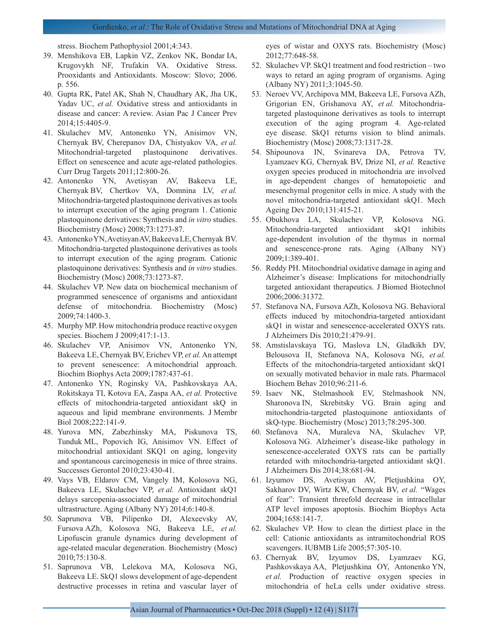### Gordienko, *et al*.: The Role of Oxidative Stress and Mutations of Mitochondrial DNA at Aging

stress. Biochem Pathophysiol 2001;4:343.

- 39. Menshikovа EB, Lapkin VZ, Zenkov NK, Bondar IA, Krugovykh NF, Trufakin VA. Oxidative Stress. Prooxidants and Antioxidants. Moscow: Slovo; 2006. p. 556.
- 40. Gupta RK, Patel AK, Shah N, Chaudhary AK, Jha UK, Yadav UC, *et al.* Oxidative stress and antioxidants in disease and cancer: A review. Asian Pac J Cancer Prev 2014;15:4405-9.
- 41. Skulachev MV, Antonenko YN, Anisimov VN, Chernyak BV, Cherepanov DA, Chistyakov VA, *et al.* Mitochondrial-targeted plastoquinone derivatives. Effect on senescence and acute age-related pathologies. Curr Drug Targets 2011;12:800-26.
- 42. Antonenko YN, Avetisyan AV, Bakeeva LE, Chernyak BV, Chertkov VA, Domnina LV, *et al.* Mitochondria-targeted plastoquinone derivatives as tools to interrupt execution of the aging program 1. Cationic plastoquinone derivatives: Synthesis and *in vitro* studies. Biochemistry (Mosc) 2008;73:1273-87.
- 43. Antonenko YN, Avetisyan AV, Bakeeva LE, Chernyak BV. Mitochondria-targeted plastoquinone derivatives as tools to interrupt execution of the aging program. Cationic plastoquinone derivatives: Synthesis and *in vitro* studies. Biochemistry (Mosc) 2008;73:1273-87.
- 44. Skulachev VP. New data on biochemical mechanism of programmed senescence of organisms and antioxidant defense of mitochondria. Biochemistry (Mosc) 2009;74:1400-3.
- 45. Murphy MP. How mitochondria produce reactive oxygen species. Biochem J 2009;417:1-13.
- 46. Skulachev VP, Anisimov VN, Antonenko YN, Bakeeva LE, Chernyak BV, Erichev VP, *et al.* An attempt to prevent senescence: A mitochondrial approach. Biochim Biophys Acta 2009;1787:437-61.
- 47. Antonenko YN, Roginsky VA, Pashkovskaya AA, Rokitskaya TI, Kotova EA, Zaspa AA, *et al.* Protective effects of mitochondria-targeted antioxidant skQ in aqueous and lipid membrane environments. J Membr Biol 2008;222:141-9.
- 48. Yurova MN, Zabezhinsky MA, Piskunova TS, Tunduk ML, Popovich IG, Anisimov VN. Effect of mitochondrial antioxidant SKQ1 on aging, longevity and spontaneous carcinogenesis in mice of three strains. Successes Gerontol 2010;23:430-41.
- 49. Vays VB, Eldarov CM, Vangely IM, Kolosova NG, Bakeeva LE, Skulachev VP, *et al.* Antioxidant skQ1 delays sarcopenia-associated damage of mitochondrial ultrastructure. Aging (Albany NY) 2014;6:140-8.
- 50. Saprunova VB, Pilipenko DI, Alexeevsky AV, Fursova AZh, Kolosova NG, Bakeeva LE, *et al.* Lipofuscin granule dynamics during development of age-related macular degeneration. Biochemistry (Mosc) 2010;75:130-8.
- 51. Saprunova VB, Lelekova MA, Kolosova NG, Bakeeva LE. SkQ1 slows development of age-dependent destructive processes in retina and vascular layer of

eyes of wistar and OXYS rats. Biochemistry (Mosc) 2012;77:648-58.

- 52. Skulachev VP. SkQ1 treatment and food restriction two ways to retard an aging program of organisms. Aging (Albany NY) 2011;3:1045-50.
- 53. Neroev VV, Archipova MM, Bakeeva LE, Fursova AZh, Grigorian EN, Grishanova AY, *et al.* Mitochondriatargeted plastoquinone derivatives as tools to interrupt execution of the aging program 4. Age-related eye disease. SkQ1 returns vision to blind animals. Biochemistry (Mosc) 2008;73:1317-28.
- 54. Shipounova IN, Svinareva DA, Petrova TV, Lyamzaev KG, Chernyak BV, Drize NI, *et al.* Reactive oxygen species produced in mitochondria are involved in age-dependent changes of hematopoietic and mesenchymal progenitor cells in mice. A study with the novel mitochondria-targeted antioxidant skQ1. Mech Ageing Dev 2010;131:415-21.
- 55. Obukhova LA, Skulachev VP, Kolosova NG. Mitochondria-targeted antioxidant skQ1 inhibits age-dependent involution of the thymus in normal and senescence-prone rats. Aging (Albany NY) 2009;1:389-401.
- 56. Reddy PH. Mitochondrial oxidative damage in aging and Alzheimer's disease: Implications for mitochondrially targeted antioxidant therapeutics. J Biomed Biotechnol 2006;2006:31372.
- 57. Stefanova NA, Fursova AZh, Kolosova NG. Behavioral effects induced by mitochondria-targeted antioxidant skQ1 in wistar and senescence-accelerated OXYS rats. J Alzheimers Dis 2010;21:479-91.
- 58. Amstislavskaya TG, Maslova LN, Gladkikh DV, Belousova II, Stefanova NA, Kolosova NG, *et al.* Effects of the mitochondria-targeted antioxidant skQ1 on sexually motivated behavior in male rats. Pharmacol Biochem Behav 2010;96:211-6.
- 59. Isaev NK, Stelmashook EV, Stelmashook NN, Sharonova IN, Skrebitsky VG. Brain aging and mitochondria-targeted plastoquinone antioxidants of skQ-type. Biochemistry (Mosc) 2013;78:295-300.
- 60. Stefanova NA, Muraleva NA, Skulachev VP, Kolosova NG. Alzheimer's disease-like pathology in senescence-accelerated OXYS rats can be partially retarded with mitochondria-targeted antioxidant skQ1. J Alzheimers Dis 2014;38:681-94.
- 61. Izyumov DS, Avetisyan AV, Pletjushkina OY, Sakharov DV, Wirtz KW, Chernyak BV, *et al.* "Wages of fear": Transient threefold decrease in intracellular ATP level imposes apoptosis. Biochim Biophys Acta 2004;1658:141-7.
- 62. Skulachev VP. How to clean the dirtiest place in the cell: Cationic antioxidants as intramitochondrial ROS scavengers. IUBMB Life 2005;57:305-10.
- 63. Chernyak BV, Izyumov DS, Lyamzaev KG, Pashkovskaya AA, Pletjushkina OY, Antonenko YN, *et al.* Production of reactive oxygen species in mitochondria of heLa cells under oxidative stress.